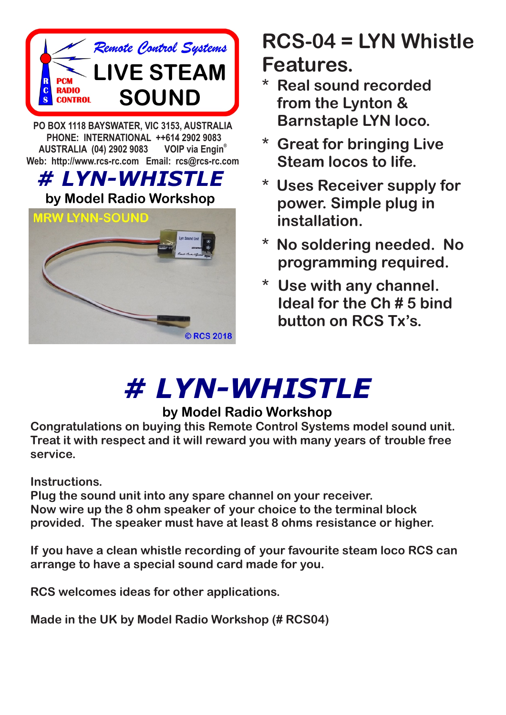

**PO BOX 1118 BAYSWATER, VIC 3153, AUSTRALIA PHONE: INTERNATIONAL ++614 2902 9083 VOIP** via Engin<sup>®</sup> **AUSTRALIA (04) 2902 9083 Web: http://www.rcs-rc.com Email: rcs@rcs-rc.com**

## *# LYN-WHISTLE*

### **by Model Radio Workshop**



# **RCS-04 = LYN Whistle Features.**

- **\* Real sound recorded from the Lynton & Barnstaple LYN loco.**
- **\* Great for bringing Live Steam locos to life.**
- **\* Uses Receiver supply for power. Simple plug in installation.**
- **\* No soldering needed. No programming required.**
- **\* Use with any channel. Ideal for the Ch # 5 bind button on RCS Tx's.**

# *# LYN-WHISTLE*

## **by Model Radio Workshop**

**Congratulations on buying this Remote Control Systems model sound unit. Treat it with respect and it will reward you with many years of trouble free service.**

**Instructions.**

**Plug the sound unit into any spare channel on your receiver. Now wire up the 8 ohm speaker of your choice to the terminal block provided. The speaker must have at least 8 ohms resistance or higher.**

**If you have a clean whistle recording of your favourite steam loco RCS can arrange to have a special sound card made for you.**

**RCS welcomes ideas for other applications.**

**Made in the UK by Model Radio Workshop (# RCS04)**